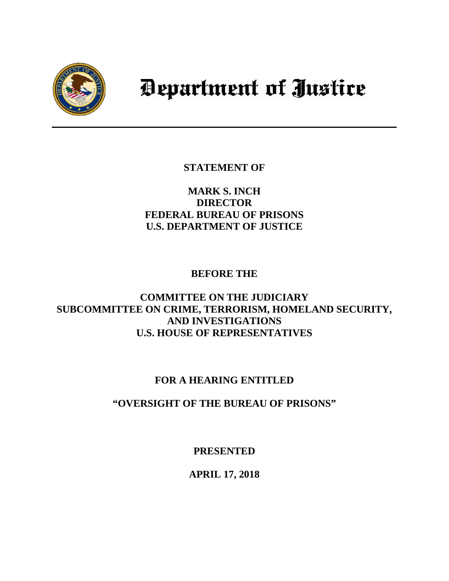

# Department of Justice

**STATEMENT OF**

**MARK S. INCH DIRECTOR FEDERAL BUREAU OF PRISONS U.S. DEPARTMENT OF JUSTICE**

**BEFORE THE**

**COMMITTEE ON THE JUDICIARY SUBCOMMITTEE ON CRIME, TERRORISM, HOMELAND SECURITY, AND INVESTIGATIONS U.S. HOUSE OF REPRESENTATIVES**

## **FOR A HEARING ENTITLED**

**"OVERSIGHT OF THE BUREAU OF PRISONS"**

**PRESENTED**

**APRIL 17, 2018**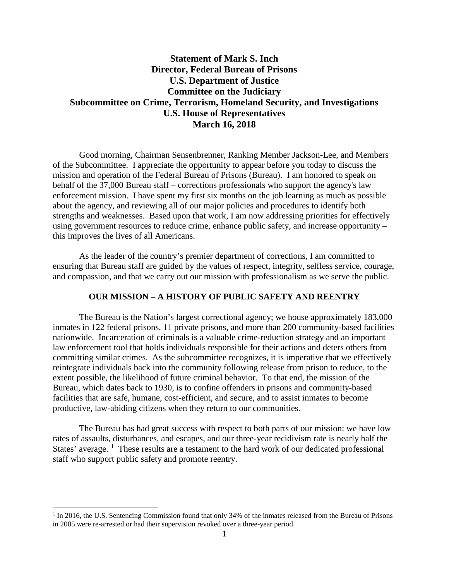## **Statement of Mark S. Inch Director, Federal Bureau of Prisons U.S. Department of Justice Committee on the Judiciary Subcommittee on Crime, Terrorism, Homeland Security, and Investigations U.S. House of Representatives March 16, 2018**

Good morning, Chairman Sensenbrenner, Ranking Member Jackson-Lee, and Members of the Subcommittee. I appreciate the opportunity to appear before you today to discuss the mission and operation of the Federal Bureau of Prisons (Bureau). I am honored to speak on behalf of the 37,000 Bureau staff – corrections professionals who support the agency's law enforcement mission. I have spent my first six months on the job learning as much as possible about the agency, and reviewing all of our major policies and procedures to identify both strengths and weaknesses. Based upon that work, I am now addressing priorities for effectively using government resources to reduce crime, enhance public safety, and increase opportunity – this improves the lives of all Americans.

As the leader of the country's premier department of corrections, I am committed to ensuring that Bureau staff are guided by the values of respect, integrity, selfless service, courage, and compassion, and that we carry out our mission with professionalism as we serve the public.

#### **OUR MISSION – A HISTORY OF PUBLIC SAFETY AND REENTRY**

The Bureau is the Nation's largest correctional agency; we house approximately 183,000 inmates in 122 federal prisons, 11 private prisons, and more than 200 community-based facilities nationwide. Incarceration of criminals is a valuable crime-reduction strategy and an important law enforcement tool that holds individuals responsible for their actions and deters others from committing similar crimes. As the subcommittee recognizes, it is imperative that we effectively reintegrate individuals back into the community following release from prison to reduce, to the extent possible, the likelihood of future criminal behavior. To that end, the mission of the Bureau, which dates back to 1930, is to confine offenders in prisons and community-based facilities that are safe, humane, cost-efficient, and secure, and to assist inmates to become productive, law-abiding citizens when they return to our communities.

The Bureau has had great success with respect to both parts of our mission: we have low rates of assaults, disturbances, and escapes, and our three-year recidivism rate is nearly half the States' average.<sup>[1](#page-1-0)</sup> These results are a testament to the hard work of our dedicated professional staff who support public safety and promote reentry.

<span id="page-1-0"></span><sup>&</sup>lt;sup>1</sup> In 2016, the U.S. Sentencing Commission found that only 34% of the inmates released from the Bureau of Prisons in 2005 were re-arrested or had their supervision revoked over a three-year period.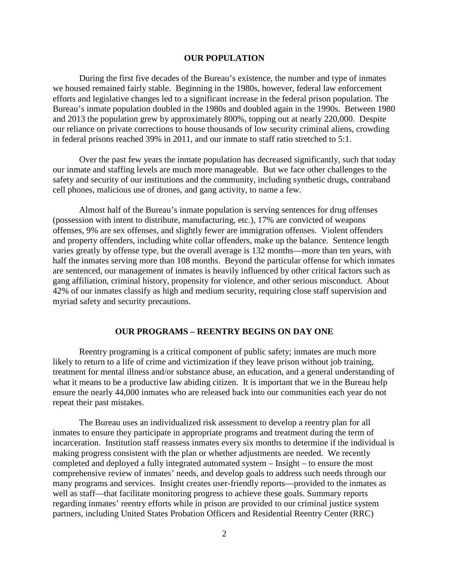#### **OUR POPULATION**

During the first five decades of the Bureau's existence, the number and type of inmates we housed remained fairly stable. Beginning in the 1980s, however, federal law enforcement efforts and legislative changes led to a significant increase in the federal prison population. The Bureau's inmate population doubled in the 1980s and doubled again in the 1990s. Between 1980 and 2013 the population grew by approximately 800%, topping out at nearly 220,000. Despite our reliance on private corrections to house thousands of low security criminal aliens, crowding in federal prisons reached 39% in 2011, and our inmate to staff ratio stretched to 5:1.

Over the past few years the inmate population has decreased significantly, such that today our inmate and staffing levels are much more manageable. But we face other challenges to the safety and security of our institutions and the community, including synthetic drugs, contraband cell phones, malicious use of drones, and gang activity, to name a few.

Almost half of the Bureau's inmate population is serving sentences for drug offenses (possession with intent to distribute, manufacturing, etc.), 17% are convicted of weapons offenses, 9% are sex offenses, and slightly fewer are immigration offenses. Violent offenders and property offenders, including white collar offenders, make up the balance. Sentence length varies greatly by offense type, but the overall average is 132 months—more than ten years, with half the inmates serving more than 108 months. Beyond the particular offense for which inmates are sentenced, our management of inmates is heavily influenced by other critical factors such as gang affiliation, criminal history, propensity for violence, and other serious misconduct. About 42% of our inmates classify as high and medium security, requiring close staff supervision and myriad safety and security precautions.

#### **OUR PROGRAMS – REENTRY BEGINS ON DAY ONE**

Reentry programing is a critical component of public safety; inmates are much more likely to return to a life of crime and victimization if they leave prison without job training, treatment for mental illness and/or substance abuse, an education, and a general understanding of what it means to be a productive law abiding citizen. It is important that we in the Bureau help ensure the nearly 44,000 inmates who are released back into our communities each year do not repeat their past mistakes.

The Bureau uses an individualized risk assessment to develop a reentry plan for all inmates to ensure they participate in appropriate programs and treatment during the term of incarceration. Institution staff reassess inmates every six months to determine if the individual is making progress consistent with the plan or whether adjustments are needed. We recently completed and deployed a fully integrated automated system – Insight – to ensure the most comprehensive review of inmates' needs, and develop goals to address such needs through our many programs and services. Insight creates user-friendly reports—provided to the inmates as well as staff—that facilitate monitoring progress to achieve these goals. Summary reports regarding inmates' reentry efforts while in prison are provided to our criminal justice system partners, including United States Probation Officers and Residential Reentry Center (RRC)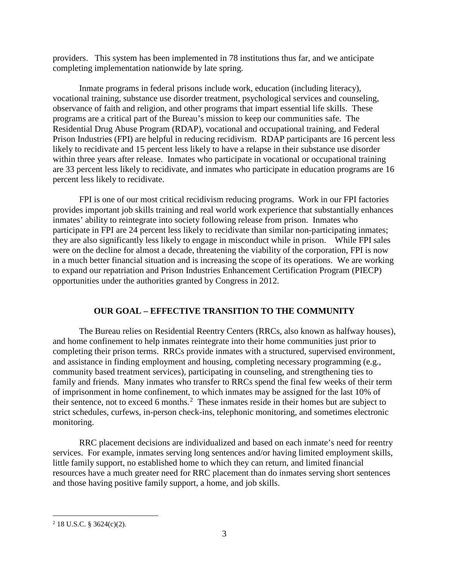providers. This system has been implemented in 78 institutions thus far, and we anticipate completing implementation nationwide by late spring.

Inmate programs in federal prisons include work, education (including literacy), vocational training, substance use disorder treatment, psychological services and counseling, observance of faith and religion, and other programs that impart essential life skills. These programs are a critical part of the Bureau's mission to keep our communities safe. The Residential Drug Abuse Program (RDAP), vocational and occupational training, and Federal Prison Industries (FPI) are helpful in reducing recidivism. RDAP participants are 16 percent less likely to recidivate and 15 percent less likely to have a relapse in their substance use disorder within three years after release. Inmates who participate in vocational or occupational training are 33 percent less likely to recidivate, and inmates who participate in education programs are 16 percent less likely to recidivate.

FPI is one of our most critical recidivism reducing programs. Work in our FPI factories provides important job skills training and real world work experience that substantially enhances inmates' ability to reintegrate into society following release from prison. Inmates who participate in FPI are 24 percent less likely to recidivate than similar non-participating inmates; they are also significantly less likely to engage in misconduct while in prison. While FPI sales were on the decline for almost a decade, threatening the viability of the corporation, FPI is now in a much better financial situation and is increasing the scope of its operations. We are working to expand our repatriation and Prison Industries Enhancement Certification Program (PIECP) opportunities under the authorities granted by Congress in 2012.

### **OUR GOAL – EFFECTIVE TRANSITION TO THE COMMUNITY**

The Bureau relies on Residential Reentry Centers (RRCs, also known as halfway houses), and home confinement to help inmates reintegrate into their home communities just prior to completing their prison terms. RRCs provide inmates with a structured, supervised environment, and assistance in finding employment and housing, completing necessary programming (e.g., community based treatment services), participating in counseling, and strengthening ties to family and friends. Many inmates who transfer to RRCs spend the final few weeks of their term of imprisonment in home confinement, to which inmates may be assigned for the last 10% of their sentence, not to exceed 6 months.<sup>[2](#page-3-0)</sup> These inmates reside in their homes but are subject to strict schedules, curfews, in-person check-ins, telephonic monitoring, and sometimes electronic monitoring.

RRC placement decisions are individualized and based on each inmate's need for reentry services. For example, inmates serving long sentences and/or having limited employment skills, little family support, no established home to which they can return, and limited financial resources have a much greater need for RRC placement than do inmates serving short sentences and those having positive family support, a home, and job skills.

<span id="page-3-0"></span> $2$  18 U.S.C. § 3624(c)(2).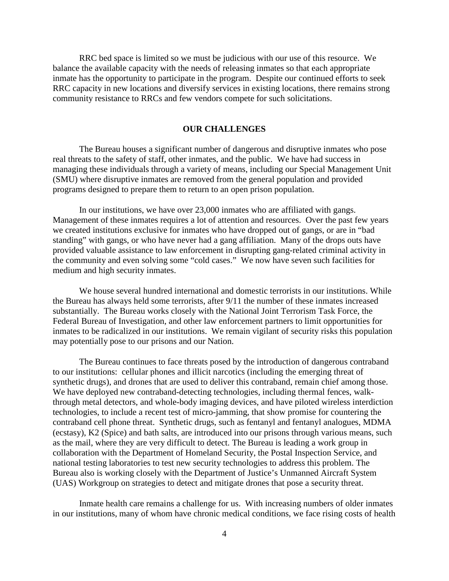RRC bed space is limited so we must be judicious with our use of this resource. We balance the available capacity with the needs of releasing inmates so that each appropriate inmate has the opportunity to participate in the program. Despite our continued efforts to seek RRC capacity in new locations and diversify services in existing locations, there remains strong community resistance to RRCs and few vendors compete for such solicitations.

#### **OUR CHALLENGES**

The Bureau houses a significant number of dangerous and disruptive inmates who pose real threats to the safety of staff, other inmates, and the public. We have had success in managing these individuals through a variety of means, including our Special Management Unit (SMU) where disruptive inmates are removed from the general population and provided programs designed to prepare them to return to an open prison population.

In our institutions, we have over 23,000 inmates who are affiliated with gangs. Management of these inmates requires a lot of attention and resources. Over the past few years we created institutions exclusive for inmates who have dropped out of gangs, or are in "bad standing" with gangs, or who have never had a gang affiliation. Many of the drops outs have provided valuable assistance to law enforcement in disrupting gang-related criminal activity in the community and even solving some "cold cases." We now have seven such facilities for medium and high security inmates.

We house several hundred international and domestic terrorists in our institutions. While the Bureau has always held some terrorists, after 9/11 the number of these inmates increased substantially. The Bureau works closely with the National Joint Terrorism Task Force, the Federal Bureau of Investigation, and other law enforcement partners to limit opportunities for inmates to be radicalized in our institutions. We remain vigilant of security risks this population may potentially pose to our prisons and our Nation.

The Bureau continues to face threats posed by the introduction of dangerous contraband to our institutions: cellular phones and illicit narcotics (including the emerging threat of synthetic drugs), and drones that are used to deliver this contraband, remain chief among those. We have deployed new contraband-detecting technologies, including thermal fences, walkthrough metal detectors, and whole-body imaging devices, and have piloted wireless interdiction technologies, to include a recent test of micro-jamming, that show promise for countering the contraband cell phone threat. Synthetic drugs, such as fentanyl and fentanyl analogues, MDMA (ecstasy), K2 (Spice) and bath salts, are introduced into our prisons through various means, such as the mail, where they are very difficult to detect. The Bureau is leading a work group in collaboration with the Department of Homeland Security, the Postal Inspection Service, and national testing laboratories to test new security technologies to address this problem. The Bureau also is working closely with the Department of Justice's Unmanned Aircraft System (UAS) Workgroup on strategies to detect and mitigate drones that pose a security threat.

Inmate health care remains a challenge for us. With increasing numbers of older inmates in our institutions, many of whom have chronic medical conditions, we face rising costs of health